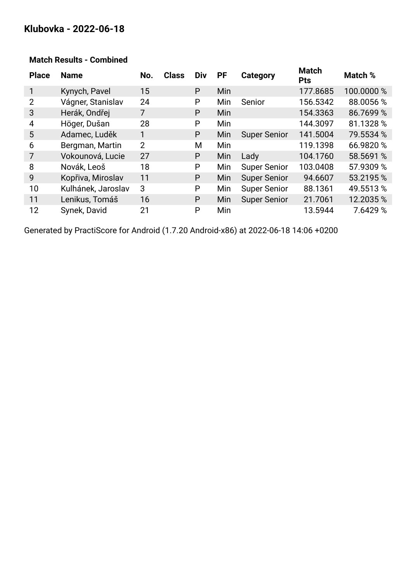# **Klubovka - 2022-06-18**

| <b>Place</b>   | <b>Name</b>        | No.            | <b>Class</b> | <b>Div</b> | <b>PF</b> | Category            | <b>Match</b><br><b>Pts</b> | Match %    |
|----------------|--------------------|----------------|--------------|------------|-----------|---------------------|----------------------------|------------|
|                | Kynych, Pavel      | 15             |              | P          | Min       |                     | 177.8685                   | 100.0000 % |
| $\overline{2}$ | Vágner, Stanislav  | 24             |              | P          | Min       | Senior              | 156.5342                   | 88.0056 %  |
| 3              | Herák, Ondřej      | $\overline{7}$ |              | P          | Min       |                     | 154.3363                   | 86.7699 %  |
| 4              | Höger, Dušan       | 28             |              | P          | Min       |                     | 144.3097                   | 81.1328 %  |
| 5              | Adamec, Luděk      | 1              |              | P          | Min       | <b>Super Senior</b> | 141.5004                   | 79.5534 %  |
| 6              | Bergman, Martin    | 2              |              | М          | Min       |                     | 119.1398                   | 66.9820 %  |
| 7              | Vokounová, Lucie   | 27             |              | P          | Min       | Lady                | 104.1760                   | 58.5691 %  |
| 8              | Novák, Leoš        | 18             |              | P          | Min       | <b>Super Senior</b> | 103.0408                   | 57.9309 %  |
| 9              | Kopřiva, Miroslav  | 11             |              | P          | Min       | <b>Super Senior</b> | 94.6607                    | 53.2195 %  |
| 10             | Kulhánek, Jaroslav | 3              |              | P          | Min       | <b>Super Senior</b> | 88.1361                    | 49.5513 %  |
| 11             | Lenikus, Tomáš     | 16             |              | P          | Min       | <b>Super Senior</b> | 21.7061                    | 12.2035 %  |
| 12             | Synek, David       | 21             |              | P          | Min       |                     | 13.5944                    | 7.6429 %   |

#### **Match Results - Combined**

Generated by PractiScore for Android (1.7.20 Android-x86) at 2022-06-18 14:06 +0200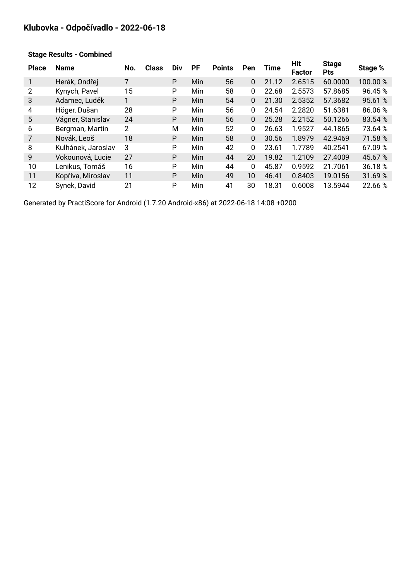## **Klubovka - Odpočívadlo - 2022-06-18**

| <b>Place</b> | <b>Name</b>        | No.            | <b>Class</b> | Div | <b>PF</b>  | <b>Points</b> | Pen          | <b>Time</b> | Hit<br><b>Factor</b> | <b>Stage</b><br><b>Pts</b> | Stage % |
|--------------|--------------------|----------------|--------------|-----|------------|---------------|--------------|-------------|----------------------|----------------------------|---------|
|              | Herák, Ondřej      | 7              |              | P   | Min        | 56            | 0            | 21.12       | 2.6515               | 60.0000                    | 100.00% |
| 2            | Kynych, Pavel      | 15             |              | P   | Min        | 58            | 0            | 22.68       | 2.5573               | 57.8685                    | 96.45%  |
| 3            | Adamec, Luděk      |                |              | P   | Min        | 54            | $\mathbf{0}$ | 21.30       | 2.5352               | 57.3682                    | 95.61%  |
| 4            | Höger, Dušan       | 28             |              | P   | Min        | 56            | 0            | 24.54       | 2.2820               | 51.6381                    | 86.06%  |
| 5            | Vágner, Stanislav  | 24             |              | P   | Min        | 56            | $\mathbf{0}$ | 25.28       | 2.2152               | 50.1266                    | 83.54 % |
| 6            | Bergman, Martin    | $\overline{2}$ |              | М   | Min        | 52            | 0            | 26.63       | 1.9527               | 44.1865                    | 73.64 % |
| 7            | Novák, Leoš        | 18             |              | P   | Min        | 58            | $\mathbf{0}$ | 30.56       | 1.8979               | 42.9469                    | 71.58 % |
| 8            | Kulhánek, Jaroslav | 3              |              | P   | <b>Min</b> | 42            | 0            | 23.61       | 1.7789               | 40.2541                    | 67.09 % |
| 9            | Vokounová, Lucie   | 27             |              | P   | Min        | 44            | 20           | 19.82       | 1.2109               | 27.4009                    | 45.67 % |
| 10           | Lenikus, Tomáš     | 16             |              | P   | Min        | 44            | 0            | 45.87       | 0.9592               | 21.7061                    | 36.18 % |
| 11           | Kopřiva, Miroslav  | 11             |              | P   | <b>Min</b> | 49            | 10           | 46.41       | 0.8403               | 19.0156                    | 31.69%  |
| 12           | Synek, David       | 21             |              | P   | Min        | 41            | 30           | 18.31       | 0.6008               | 13.5944                    | 22.66 % |

#### **Stage Results - Combined**

Generated by PractiScore for Android (1.7.20 Android-x86) at 2022-06-18 14:08 +0200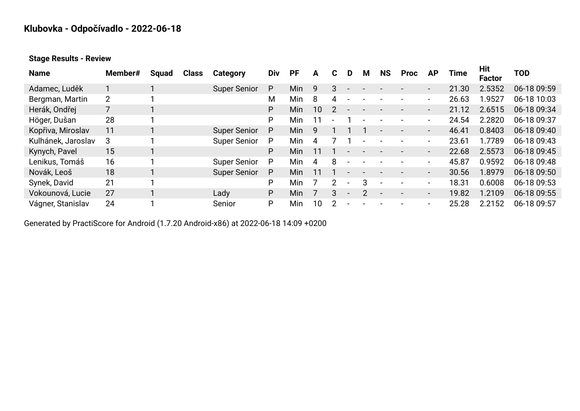# **Klubovka - Odpočívadlo - 2022-06-18**

**Stage Results - Review**

| <b>Name</b>        | Member# | <b>Squad</b> | <b>Class</b> | Category            | Div | <b>PF</b>  | A  | C. | D                        | м | <b>NS</b> | <b>Proc</b> | ΑP                       | Time  | Hit<br><b>Factor</b> | TOD         |
|--------------------|---------|--------------|--------------|---------------------|-----|------------|----|----|--------------------------|---|-----------|-------------|--------------------------|-------|----------------------|-------------|
| Adamec, Luděk      |         |              |              | <b>Super Senior</b> | P   | Min        | 9  | 3  |                          |   |           |             | $\sim$                   | 21.30 | 2.5352               | 06-18 09:59 |
| Bergman, Martin    | 2       |              |              |                     | M   | Min        | 8  | 4  |                          |   |           |             | $\overline{\phantom{0}}$ | 26.63 | 1.9527               | 06-18 10:03 |
| Herák, Ondřej      |         |              |              |                     | P   | Min        | 10 |    |                          |   |           |             | $\blacksquare$           | 21.12 | 2.6515               | 06-18 09:34 |
| Höger, Dušan       | 28      |              |              |                     | P   | Min        |    |    |                          |   |           |             | ۰.                       | 24.54 | 2.2820               | 06-18 09:37 |
| Kopřiva, Miroslav  | 11      |              |              | <b>Super Senior</b> | P   | <b>Min</b> | 9  |    |                          |   |           |             | $\sim$                   | 46.41 | 0.8403               | 06-18 09:40 |
| Kulhánek, Jaroslav | 3       |              |              | <b>Super Senior</b> | P   | Min        | 4  |    |                          |   |           |             | ۰                        | 23.61 | 1.7789               | 06-18 09:43 |
| Kynych, Pavel      | 15      |              |              |                     | P   | Min        |    |    |                          |   |           |             | $\blacksquare$           | 22.68 | 2.5573               | 06-18 09:45 |
| Lenikus, Tomáš     | 16      |              |              | <b>Super Senior</b> | P   | Min        | 4  | 8  |                          |   |           |             | $\overline{\phantom{0}}$ | 45.87 | 0.9592               | 06-18 09:48 |
| Novák, Leoš        | 18      |              |              | <b>Super Senior</b> | P   | <b>Min</b> | 11 |    |                          |   |           |             | $\blacksquare$           | 30.56 | 1.8979               | 06-18 09:50 |
| Synek, David       | 21      |              |              |                     | P   | Min        |    |    |                          | 3 |           |             | $\overline{\phantom{0}}$ | 18.31 | 0.6008               | 06-18 09:53 |
| Vokounová, Lucie   | 27      |              |              | Lady                | P   | Min        |    | 3  | $\overline{\phantom{a}}$ | 2 |           |             | $\blacksquare$           | 19.82 | 1.2109               | 06-18 09:55 |
| Vágner, Stanislav  | 24      |              |              | Senior              | P   | Min        | 10 | 2  |                          |   |           |             | ۰                        | 25.28 | 2.2152               | 06-18 09:57 |

Generated by PractiScore for Android (1.7.20 Android-x86) at 2022-06-18 14:09 +0200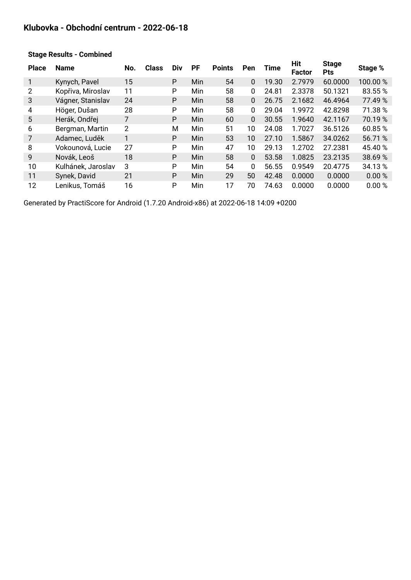#### **Klubovka - Obchodní centrum - 2022-06-18**

| <b>Place</b> | <b>Name</b>        | No. | <b>Class</b> | Div | <b>PF</b>  | <b>Points</b> | Pen          | <b>Time</b> | Hit<br><b>Factor</b> | <b>Stage</b><br><b>Pts</b> | Stage % |
|--------------|--------------------|-----|--------------|-----|------------|---------------|--------------|-------------|----------------------|----------------------------|---------|
|              | Kynych, Pavel      | 15  |              | P   | Min        | 54            | 0            | 19.30       | 2.7979               | 60.0000                    | 100.00% |
| 2            | Kopřiva, Miroslav  | 11  |              | P   | Min        | 58            | 0            | 24.81       | 2.3378               | 50.1321                    | 83.55%  |
| 3            | Vágner, Stanislav  | 24  |              | P   | Min        | 58            | $\Omega$     | 26.75       | 2.1682               | 46.4964                    | 77.49 % |
| 4            | Höger, Dušan       | 28  |              | P   | Min        | 58            | 0            | 29.04       | 1.9972               | 42.8298                    | 71.38 % |
| 5            | Herák, Ondřej      | 7   |              | P   | <b>Min</b> | 60            | $\mathbf{0}$ | 30.55       | 1.9640               | 42.1167                    | 70.19 % |
| 6            | Bergman, Martin    | 2   |              | М   | Min        | 51            | 10           | 24.08       | 1.7027               | 36.5126                    | 60.85%  |
| 7            | Adamec, Luděk      |     |              | P   | Min        | 53            | 10           | 27.10       | 1.5867               | 34.0262                    | 56.71 % |
| 8            | Vokounová, Lucie   | 27  |              | P   | Min        | 47            | 10           | 29.13       | 1.2702               | 27.2381                    | 45.40 % |
| 9            | Novák, Leoš        | 18  |              | P   | Min        | 58            | $\mathbf{0}$ | 53.58       | 1.0825               | 23.2135                    | 38.69%  |
| 10           | Kulhánek, Jaroslav | 3   |              | P   | Min        | 54            | 0            | 56.55       | 0.9549               | 20.4775                    | 34.13%  |
| 11           | Synek, David       | 21  |              | P   | Min        | 29            | 50           | 42.48       | 0.0000               | 0.0000                     | 0.00%   |
| 12           | Lenikus, Tomáš     | 16  |              | P   | <b>Min</b> | 17            | 70           | 74.63       | 0.0000               | 0.0000                     | 0.00 %  |

#### **Stage Results - Combined**

Generated by PractiScore for Android (1.7.20 Android-x86) at 2022-06-18 14:09 +0200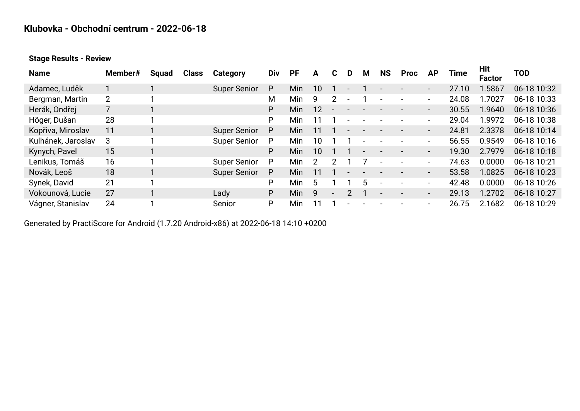### **Klubovka - Obchodní centrum - 2022-06-18**

#### **Stage Results - Review**

| <b>Name</b>        | Member#        | Squad | <b>Class</b> | Category            | Div | <b>PF</b> | A  | C.                       | D | м | <b>NS</b> | <b>Proc</b> | <b>AP</b>                | Time  | Hit<br><b>Factor</b> | <b>TOD</b>  |
|--------------------|----------------|-------|--------------|---------------------|-----|-----------|----|--------------------------|---|---|-----------|-------------|--------------------------|-------|----------------------|-------------|
| Adamec, Luděk      |                |       |              | <b>Super Senior</b> | P   | Min       | 10 |                          |   |   |           |             | $\blacksquare$           | 27.10 | .5867                | 06-18 10:32 |
| Bergman, Martin    | $\overline{2}$ |       |              |                     | Μ   | Min       | 9  | $\mathcal{P}$            |   |   |           |             | -                        | 24.08 | .7027                | 06-18 10:33 |
| Herák, Ondřej      |                |       |              |                     | P   | Min       | 12 |                          |   |   |           |             | $\blacksquare$           | 30.55 | 1.9640               | 06-18 10:36 |
| Höger, Dušan       | 28             |       |              |                     | P   | Min       |    |                          |   |   |           |             | -                        | 29.04 | .9972                | 06-18 10:38 |
| Kopřiva, Miroslav  | 11             |       |              | <b>Super Senior</b> | P   | Min       |    |                          |   |   |           |             | $\blacksquare$           | 24.81 | 2.3378               | 06-18 10:14 |
| Kulhánek, Jaroslav | 3              |       |              | <b>Super Senior</b> | P   | Min       | 10 |                          |   |   |           |             | ۰                        | 56.55 | 0.9549               | 06-18 10:16 |
| Kynych, Pavel      | 15             |       |              |                     | P   | Min       | 10 |                          |   |   |           |             | $\overline{\phantom{a}}$ | 19.30 | 2.7979               | 06-18 10:18 |
| Lenikus, Tomáš     | 16             |       |              | <b>Super Senior</b> | P   | Min       | っ  | 2                        |   |   |           |             | -                        | 74.63 | 0.0000               | 06-18 10:21 |
| Novák, Leoš        | 18             |       |              | <b>Super Senior</b> | P   | Min       |    |                          |   |   |           |             | $\overline{\phantom{a}}$ | 53.58 | 1.0825               | 06-18 10:23 |
| Synek, David       | 21             |       |              |                     | P   | Min       | 5  |                          |   | 5 |           |             | ۰                        | 42.48 | 0.0000               | 06-18 10:26 |
| Vokounová, Lucie   | 27             |       |              | Lady                | P   | Min       | q  | $\overline{\phantom{a}}$ |   |   |           |             | $\overline{\phantom{a}}$ | 29.13 | 1.2702               | 06-18 10:27 |
| Vágner, Stanislav  | 24             |       |              | Senior              | P   | Min       |    |                          |   |   |           |             | ۰                        | 26.75 | 2.1682               | 06-18 10:29 |

Generated by PractiScore for Android (1.7.20 Android-x86) at 2022-06-18 14:10 +0200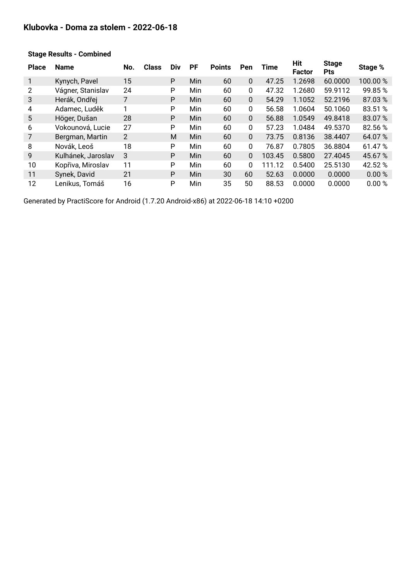#### **Klubovka - Doma za stolem - 2022-06-18**

| <b>Place</b> | <b>Name</b>        | No.            | <b>Class</b> | Div | <b>PF</b>  | <b>Points</b> | Pen          | <b>Time</b> | Hit<br><b>Factor</b> | <b>Stage</b><br><b>Pts</b> | Stage % |
|--------------|--------------------|----------------|--------------|-----|------------|---------------|--------------|-------------|----------------------|----------------------------|---------|
|              | Kynych, Pavel      | 15             |              | P   | Min        | 60            | $\mathbf{0}$ | 47.25       | 1.2698               | 60.0000                    | 100.00% |
| 2            | Vágner, Stanislav  | 24             |              | P   | Min        | 60            | 0            | 47.32       | 1.2680               | 59.9112                    | 99.85%  |
| 3            | Herák, Ondřej      | 7              |              | P   | Min        | 60            | 0            | 54.29       | 1.1052               | 52.2196                    | 87.03%  |
| 4            | Adamec, Luděk      | 1              |              | P   | Min        | 60            | 0            | 56.58       | 1.0604               | 50.1060                    | 83.51 % |
| 5            | Höger, Dušan       | 28             |              | P   | Min        | 60            | 0            | 56.88       | 1.0549               | 49.8418                    | 83.07%  |
| 6            | Vokounová, Lucie   | 27             |              | P   | Min        | 60            | 0            | 57.23       | 1.0484               | 49.5370                    | 82.56 % |
| 7            | Bergman, Martin    | $\overline{2}$ |              | M   | <b>Min</b> | 60            | 0            | 73.75       | 0.8136               | 38.4407                    | 64.07%  |
| 8            | Novák, Leoš        | 18             |              | P   | Min        | 60            | 0            | 76.87       | 0.7805               | 36.8804                    | 61.47%  |
| 9            | Kulhánek, Jaroslav | 3              |              | P   | <b>Min</b> | 60            | $\mathbf{0}$ | 103.45      | 0.5800               | 27.4045                    | 45.67 % |
| 10           | Kopřiva, Miroslav  | 11             |              | P   | <b>Min</b> | 60            | 0            | 111.12      | 0.5400               | 25.5130                    | 42.52 % |
| 11           | Synek, David       | 21             |              | P   | <b>Min</b> | 30            | 60           | 52.63       | 0.0000               | 0.0000                     | 0.00%   |
| 12           | Lenikus, Tomáš     | 16             |              | P   | Min        | 35            | 50           | 88.53       | 0.0000               | 0.0000                     | 0.00%   |

#### **Stage Results - Combined**

Generated by PractiScore for Android (1.7.20 Android-x86) at 2022-06-18 14:10 +0200